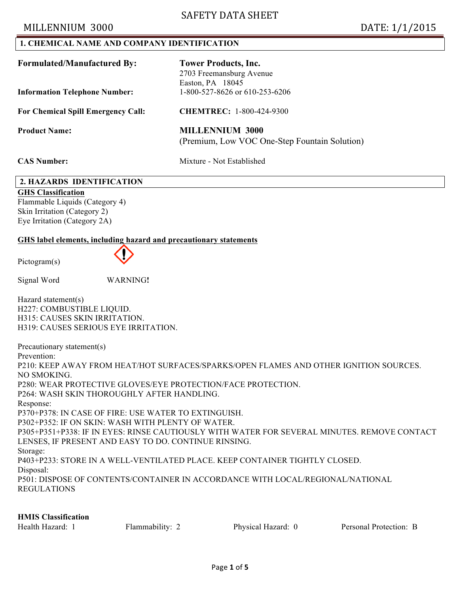## MILLENNIUM 3000 DATE: 1/1/2015

### **1. CHEMICAL NAME AND COMPANY IDENTIFICATION**

| <b>Formulated/Manufactured By:</b>        | <b>Tower Products, Inc.</b><br>2703 Freemansburg Avenue<br>Easton, PA 18045 |
|-------------------------------------------|-----------------------------------------------------------------------------|
| <b>Information Telephone Number:</b>      | 1-800-527-8626 or 610-253-6206                                              |
| <b>For Chemical Spill Emergency Call:</b> | <b>CHEMTREC: 1-800-424-9300</b>                                             |
| <b>Product Name:</b>                      | <b>MILLENNIUM 3000</b><br>(Premium, Low VOC One-Step Fountain Solution)     |
| <b>CAS Number:</b>                        | Mixture - Not Established                                                   |

### **2. HAZARDS IDENTIFICATION**

**GHS Classification** Flammable Liquids (Category 4) Skin Irritation (Category 2) Eye Irritation (Category 2A)

### **GHS label elements, including hazard and precautionary statements**

Pictogram(s)



Signal Word WARNING**!** 

Hazard statement(s) H227: COMBUSTIBLE LIQUID. H315: CAUSES SKIN IRRITATION. H319: CAUSES SERIOUS EYE IRRITATION.

Precautionary statement(s) Prevention: P210: KEEP AWAY FROM HEAT/HOT SURFACES/SPARKS/OPEN FLAMES AND OTHER IGNITION SOURCES. NO SMOKING. P280: WEAR PROTECTIVE GLOVES/EYE PROTECTION/FACE PROTECTION. P264: WASH SKIN THOROUGHLY AFTER HANDLING. Response: P370+P378: IN CASE OF FIRE: USE WATER TO EXTINGUISH. P302+P352: IF ON SKIN: WASH WITH PLENTY OF WATER. P305+P351+P338: IF IN EYES: RINSE CAUTIOUSLY WITH WATER FOR SEVERAL MINUTES. REMOVE CONTACT LENSES, IF PRESENT AND EASY TO DO. CONTINUE RINSING. Storage: P403+P233: STORE IN A WELL-VENTILATED PLACE. KEEP CONTAINER TIGHTLY CLOSED. Disposal: P501: DISPOSE OF CONTENTS/CONTAINER IN ACCORDANCE WITH LOCAL/REGIONAL/NATIONAL REGULATIONS

#### **HMIS Classification**

| Health Hazard: 1 | Flammability: 2 | Physical Hazard: 0 | Personal Protection: B |
|------------------|-----------------|--------------------|------------------------|
|------------------|-----------------|--------------------|------------------------|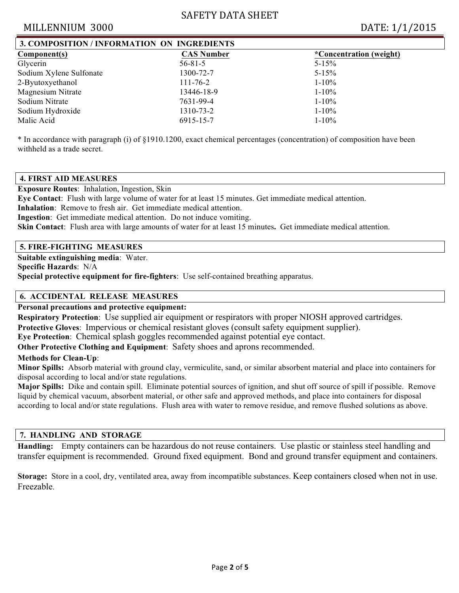# SAFETY DATA SHEET

## MILLENNIUM 3000 DATE: 1/1/2015

| 3. COMPOSITION / INFORMATION ON INGREDIENTS |                         |  |  |  |
|---------------------------------------------|-------------------------|--|--|--|
| <b>CAS Number</b>                           | *Concentration (weight) |  |  |  |
| $56 - 81 - 5$                               | $5 - 15\%$              |  |  |  |
| 1300-72-7                                   | $5 - 15\%$              |  |  |  |
| $111 - 76 - 2$                              | $1 - 10\%$              |  |  |  |
| 13446-18-9                                  | $1 - 10\%$              |  |  |  |
| 7631-99-4                                   | $1 - 10\%$              |  |  |  |
| 1310-73-2                                   | $1 - 10\%$              |  |  |  |
| 6915-15-7                                   | $1 - 10\%$              |  |  |  |
|                                             |                         |  |  |  |

\* In accordance with paragraph (i) of §1910.1200, exact chemical percentages (concentration) of composition have been withheld as a trade secret.

### **4. FIRST AID MEASURES**

**Exposure Routes**:Inhalation, Ingestion, Skin

**Eye Contact**:Flush with large volume of water for at least 15 minutes. Get immediate medical attention.

**Inhalation**: Remove to fresh air. Get immediate medical attention.

**Ingestion**: Get immediate medical attention. Do not induce vomiting.

**Skin Contact**:Flush area with large amounts of water for at least 15 minutes**.** Get immediate medical attention.

## **5. FIRE-FIGHTING MEASURES**

**Suitable extinguishing media**:Water. **Specific Hazards**:N/A

**Special protective equipment for fire-fighters**:Use self-contained breathing apparatus.

## **6. ACCIDENTAL RELEASE MEASURES**

## **Personal precautions and protective equipment:**

**Respiratory Protection**:Use supplied air equipment or respirators with proper NIOSH approved cartridges.

**Protective Gloves**:Impervious or chemical resistant gloves (consult safety equipment supplier).

**Eye Protection**:Chemical splash goggles recommended against potential eye contact.

**Other Protective Clothing and Equipment**:Safety shoes and aprons recommended.

#### **Methods for Clean-Up**:

**Minor Spills:** Absorb material with ground clay, vermiculite, sand, or similar absorbent material and place into containers for disposal according to local and/or state regulations.

**Major Spills:** Dike and contain spill. Eliminate potential sources of ignition, and shut off source of spill if possible. Remove liquid by chemical vacuum, absorbent material, or other safe and approved methods, and place into containers for disposal according to local and/or state regulations. Flush area with water to remove residue, and remove flushed solutions as above.

#### **7. HANDLING AND STORAGE**

**Handling:** Empty containers can be hazardous do not reuse containers. Use plastic or stainless steel handling and transfer equipment is recommended. Ground fixed equipment. Bond and ground transfer equipment and containers.

**Storage:** Store in a cool, dry, ventilated area, away from incompatible substances. Keep containers closed when not in use. Freezable.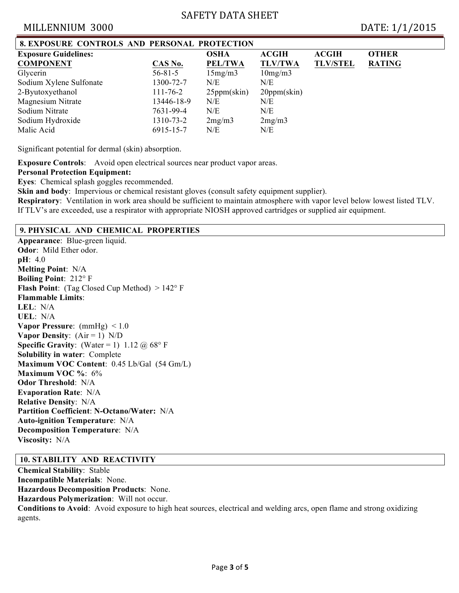# SAFETY DATA SHEET

## MILLENNIUM 3000 DATE: 1/1/2015

| <b>8. EXPOSURE CONTROLS AND PERSONAL PROTECTION</b> |                |                |                      |                 |               |
|-----------------------------------------------------|----------------|----------------|----------------------|-----------------|---------------|
| <b>Exposure Guidelines:</b>                         |                | <b>OSHA</b>    | <b>ACGIH</b>         | <b>ACGIH</b>    | <b>OTHER</b>  |
| <b>COMPONENT</b>                                    | CAS No.        | <b>PEL/TWA</b> | <b>TLV/TWA</b>       | <b>TLV/STEL</b> | <b>RATING</b> |
| Glycerin                                            | $56 - 81 - 5$  | 15mg/m3        | 10mg/m3              |                 |               |
| Sodium Xylene Sulfonate                             | 1300-72-7      | N/E            | N/E                  |                 |               |
| 2-Byutoxyethanol                                    | $111 - 76 - 2$ | $25$ ppm(skin) | $20ppm(\text{skin})$ |                 |               |
| Magnesium Nitrate                                   | 13446-18-9     | N/E            | N/E                  |                 |               |
| Sodium Nitrate                                      | 7631-99-4      | N/E            | N/E                  |                 |               |
| Sodium Hydroxide                                    | 1310-73-2      | 2mg/m3         | 2mg/m3               |                 |               |
| Malic Acid                                          | 6915-15-7      | N/E            | N/E                  |                 |               |

Significant potential for dermal (skin) absorption.

**Exposure Controls**:Avoid open electrical sources near product vapor areas.

#### **Personal Protection Equipment:**

**Eyes**:Chemical splash goggles recommended.

**Skin and body:** Impervious or chemical resistant gloves (consult safety equipment supplier).

**Respiratory**:Ventilation in work area should be sufficient to maintain atmosphere with vapor level below lowest listed TLV. If TLV's are exceeded, use a respirator with appropriate NIOSH approved cartridges or supplied air equipment.

## **9. PHYSICAL AND CHEMICAL PROPERTIES**

**Appearance**: Blue-green liquid. **Odor**: Mild Ether odor. **pH**: 4.0 **Melting Point**: N/A **Boiling Point**: 212° F **Flash Point**: (Tag Closed Cup Method) > 142° F **Flammable Limits**: **LEL**: N/A **UEL**: N/A **Vapor Pressure**: (mmHg) < 1.0 **Vapor Density**: (Air = 1) N/D **Specific Gravity**: (Water = 1) 1.12  $\omega$  68° F **Solubility in water**: Complete **Maximum VOC Content**: 0.45 Lb/Gal (54 Gm/L) **Maximum VOC %**: 6% **Odor Threshold**:N/A **Evaporation Rate**:N/A **Relative Density**:N/A **Partition Coefficient**: **N-Octano/Water:** N/A **Auto-ignition Temperature**:N/A **Decomposition Temperature**:N/A **Viscosity:** N/A

#### **10. STABILITY AND REACTIVITY**

**Chemical Stability**:Stable **Incompatible Materials**:None. **Hazardous Decomposition Products**:None. **Hazardous Polymerization**:Will not occur. **Conditions to Avoid**:Avoid exposure to high heat sources, electrical and welding arcs, open flame and strong oxidizing agents.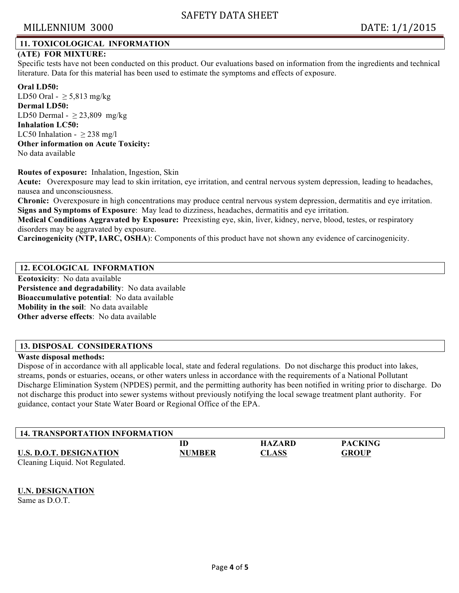# MILLENNIUM 3000 DATE: 1/1/2015

## **11. TOXICOLOGICAL INFORMATION**

## **(ATE) FOR MIXTURE:**

Specific tests have not been conducted on this product. Our evaluations based on information from the ingredients and technical literature. Data for this material has been used to estimate the symptoms and effects of exposure.

**Oral LD50:** LD50 Oral -  $\geq$  5,813 mg/kg **Dermal LD50:** LD50 Dermal -  $\geq$  23,809 mg/kg **Inhalation LC50:** LC50 Inhalation -  $\geq$  238 mg/l **Other information on Acute Toxicity:** No data available

#### **Routes of exposure:** Inhalation, Ingestion, Skin

**Acute:** Overexposure may lead to skin irritation, eye irritation, and central nervous system depression, leading to headaches, nausea and unconsciousness.

**Chronic:** Overexposure in high concentrations may produce central nervous system depression, dermatitis and eye irritation. **Signs and Symptoms of Exposure**:May lead to dizziness, headaches, dermatitis and eye irritation.

**Medical Conditions Aggravated by Exposure:** Preexisting eye, skin, liver, kidney, nerve, blood, testes, or respiratory disorders may be aggravated by exposure.

**Carcinogenicity (NTP, IARC, OSHA**): Components of this product have not shown any evidence of carcinogenicity.

### **12. ECOLOGICAL INFORMATION**

**Ecotoxicity**:No data available **Persistence and degradability**:No data available **Bioaccumulative potential**:No data available **Mobility in the soil**:No data available **Other adverse effects**:No data available

## **13. DISPOSAL CONSIDERATIONS**

#### **Waste disposal methods:**

Dispose of in accordance with all applicable local, state and federal regulations. Do not discharge this product into lakes, streams, ponds or estuaries, oceans, or other waters unless in accordance with the requirements of a National Pollutant Discharge Elimination System (NPDES) permit, and the permitting authority has been notified in writing prior to discharge. Do not discharge this product into sewer systems without previously notifying the local sewage treatment plant authority. For guidance, contact your State Water Board or Regional Office of the EPA.

| <b>14. TRANSPORTATION INFORMATION</b> |               |               |                |  |
|---------------------------------------|---------------|---------------|----------------|--|
| <b>U.S. D.O.T. DESIGNATION</b>        | ID            | <b>HAZARD</b> | <b>PACKING</b> |  |
| Cleaning Liquid. Not Regulated.       | <b>NUMBER</b> | <b>CLASS</b>  | <b>GROUP</b>   |  |

#### **U.N. DESIGNATION**

Same as D.O.T.